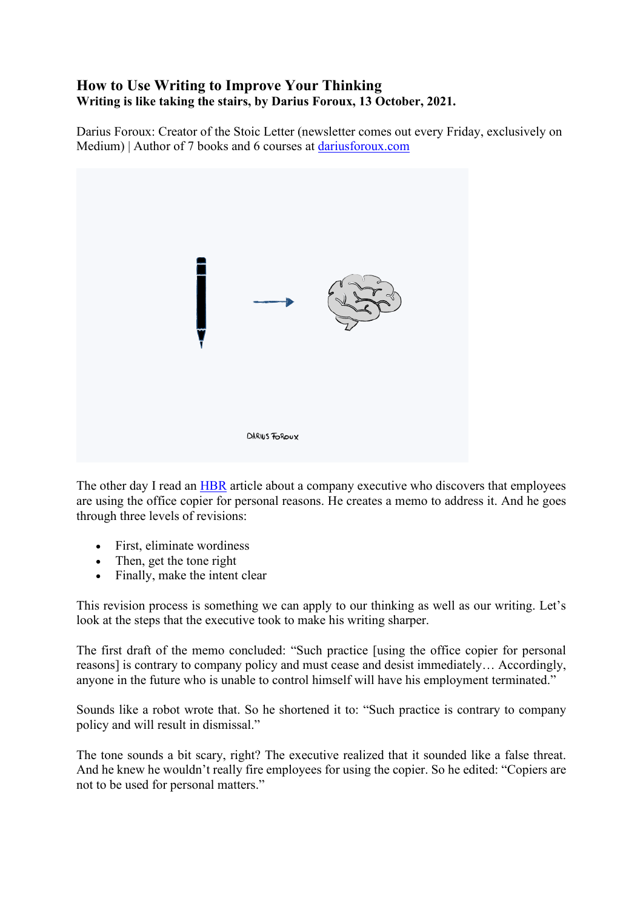### **How to Use Writing to Improve Your Thinking Writing is like taking the stairs, by Darius Foroux, 13 October, 2021.**

Darius Foroux: Creator of the Stoic Letter (newsletter comes out every Friday, exclusively on Medium) | Author of 7 books and 6 courses at [dariusforoux.com](http://dariusforoux.com/)



The other day I read an [HBR](https://hbr.org/1973/01/clear-writing-means-clear-thinking-means) article about a company executive who discovers that employees are using the office copier for personal reasons. He creates a memo to address it. And he goes through three levels of revisions:

- First, eliminate wordiness
- Then, get the tone right
- Finally, make the intent clear

This revision process is something we can apply to our thinking as well as our writing. Let's look at the steps that the executive took to make his writing sharper.

The first draft of the memo concluded: "Such practice [using the office copier for personal reasons] is contrary to company policy and must cease and desist immediately… Accordingly, anyone in the future who is unable to control himself will have his employment terminated."

Sounds like a robot wrote that. So he shortened it to: "Such practice is contrary to company policy and will result in dismissal."

The tone sounds a bit scary, right? The executive realized that it sounded like a false threat. And he knew he wouldn't really fire employees for using the copier. So he edited: "Copiers are not to be used for personal matters."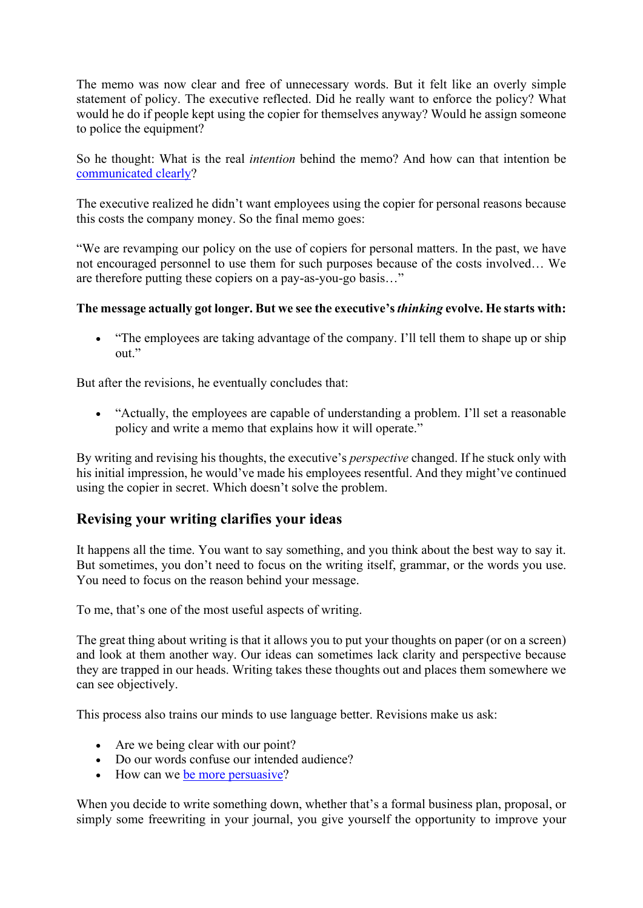The memo was now clear and free of unnecessary words. But it felt like an overly simple statement of policy. The executive reflected. Did he really want to enforce the policy? What would he do if people kept using the copier for themselves anyway? Would he assign someone to police the equipment?

So he thought: What is the real *intention* behind the memo? And how can that intention be [communicated clearly?](https://dariusforoux.com/what-is-effective-writing/)

The executive realized he didn't want employees using the copier for personal reasons because this costs the company money. So the final memo goes:

"We are revamping our policy on the use of copiers for personal matters. In the past, we have not encouraged personnel to use them for such purposes because of the costs involved… We are therefore putting these copiers on a pay-as-you-go basis…"

### **The message actually got longer. But we see the executive's** *thinking* **evolve. He starts with:**

• "The employees are taking advantage of the company. I'll tell them to shape up or ship out."

But after the revisions, he eventually concludes that:

• "Actually, the employees are capable of understanding a problem. I'll set a reasonable policy and write a memo that explains how it will operate."

By writing and revising his thoughts, the executive's *perspective* changed. If he stuck only with his initial impression, he would've made his employees resentful. And they might've continued using the copier in secret. Which doesn't solve the problem.

# **Revising your writing clarifies your ideas**

It happens all the time. You want to say something, and you think about the best way to say it. But sometimes, you don't need to focus on the writing itself, grammar, or the words you use. You need to focus on the reason behind your message.

To me, that's one of the most useful aspects of writing.

The great thing about writing is that it allows you to put your thoughts on paper (or on a screen) and look at them another way. Our ideas can sometimes lack clarity and perspective because they are trapped in our heads. Writing takes these thoughts out and places them somewhere we can see objectively.

This process also trains our minds to use language better. Revisions make us ask:

- Are we being clear with our point?
- Do our words confuse our intended audience?
- How can we [be more persuasive?](https://members.dariusforoux.com/real-influence)

When you decide to write something down, whether that's a formal business plan, proposal, or simply some freewriting in your journal, you give yourself the opportunity to improve your